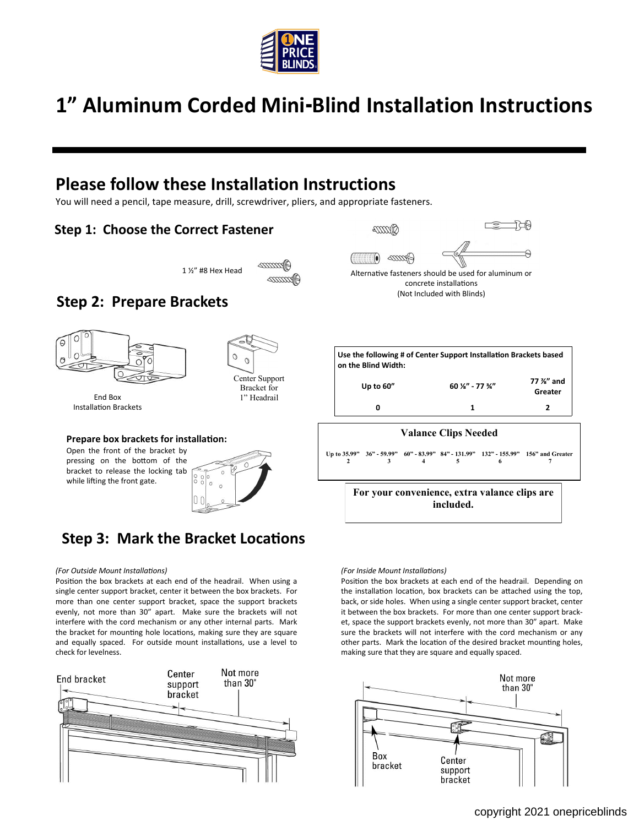

# **1" Aluminum Corded Mini-Blind Installation Instructions**

## **Please follow these Installation Instructions**

You will need a pencil, tape measure, drill, screwdriver, pliers, and appropriate fasteners.

### **Step 1: Choose the Correct Fastener**



### **Step 2: Prepare Brackets**



End Box Installation Brackets



### **Prepare box brackets for installation:**

Open the front of the bracket by pressing on the bottom of the bracket to release the locking tab while lifting the front gate.



### **Step 3: Mark the Bracket Locations**

#### *(For Outside Mount Installations)*

Position the box brackets at each end of the headrail. When using a single center support bracket, center it between the box brackets. For more than one center support bracket, space the support brackets evenly, not more than 30" apart. Make sure the brackets will not interfere with the cord mechanism or any other internal parts. Mark the bracket for mounting hole locations, making sure they are square and equally spaced. For outside mount installations, use a level to check for levelness.





ా

196

concrete installations (Not Included with Blinds)

|                      | Use the following # of Center Support Installation Brackets based<br>on the Blind Width: |                                        |                      |  |
|----------------------|------------------------------------------------------------------------------------------|----------------------------------------|----------------------|--|
|                      | Up to $60''$                                                                             | $60\frac{1}{8}$ " - 77 $\frac{3}{4}$ " | 77 %" and<br>Greater |  |
|                      | O                                                                                        |                                        |                      |  |
| Valange Cline Needed |                                                                                          |                                        |                      |  |

### **Valance Clips Needed**

**Up to 35.99" 36" - 59.99" 60" - 83.99" 84" - 131.99" 132" - 155.99" 156" and Greater 2 3 4 5 6 7**

> **For your convenience, extra valance clips are included.**

#### *(For Inside Mount Installations)*

Position the box brackets at each end of the headrail. Depending on the installation location, box brackets can be attached using the top, back, or side holes. When using a single center support bracket, center it between the box brackets. For more than one center support bracket, space the support brackets evenly, not more than 30" apart. Make sure the brackets will not interfere with the cord mechanism or any other parts. Mark the location of the desired bracket mounting holes, making sure that they are square and equally spaced.